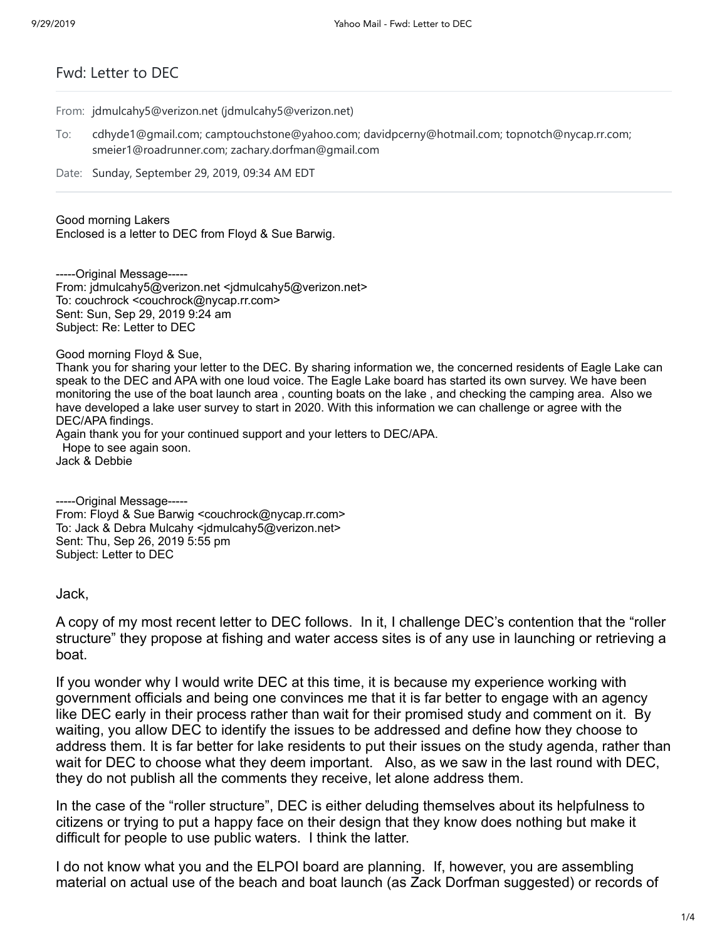## Fwd: Letter to DEC

From: jdmulcahy5@verizon.net (jdmulcahy5@verizon.net)

- To: cdhyde1@gmail.com; camptouchstone@yahoo.com; davidpcerny@hotmail.com; topnotch@nycap.rr.com; smeier1@roadrunner.com; zachary.dorfman@gmail.com
- Date: Sunday, September 29, 2019, 09:34 AM EDT

Good morning Lakers

Enclosed is a letter to DEC from Floyd & Sue Barwig.

-----Original Message----- From: jdmulcahy5@verizon.net <jdmulcahy5@verizon.net> To: couchrock <couchrock@nycap.rr.com> Sent: Sun, Sep 29, 2019 9:24 am Subject: Re: Letter to DEC

Good morning Floyd & Sue,

Thank you for sharing your letter to the DEC. By sharing information we, the concerned residents of Eagle Lake can speak to the DEC and APA with one loud voice. The Eagle Lake board has started its own survey. We have been monitoring the use of the boat launch area , counting boats on the lake , and checking the camping area. Also we have developed a lake user survey to start in 2020. With this information we can challenge or agree with the DEC/APA findings.

Again thank you for your continued support and your letters to DEC/APA. Hope to see again soon. Jack & Debbie

-----Original Message----- From: Floyd & Sue Barwig <couchrock@nycap.rr.com> To: Jack & Debra Mulcahy <jdmulcahy5@verizon.net> Sent: Thu, Sep 26, 2019 5:55 pm Subject: Letter to DEC

Jack,

A copy of my most recent letter to DEC follows. In it, I challenge DEC's contention that the "roller structure" they propose at fishing and water access sites is of any use in launching or retrieving a boat.

If you wonder why I would write DEC at this time, it is because my experience working with government officials and being one convinces me that it is far better to engage with an agency like DEC early in their process rather than wait for their promised study and comment on it. By waiting, you allow DEC to identify the issues to be addressed and define how they choose to address them. It is far better for lake residents to put their issues on the study agenda, rather than wait for DEC to choose what they deem important. Also, as we saw in the last round with DEC, they do not publish all the comments they receive, let alone address them.

In the case of the "roller structure", DEC is either deluding themselves about its helpfulness to citizens or trying to put a happy face on their design that they know does nothing but make it difficult for people to use public waters. I think the latter.

I do not know what you and the ELPOI board are planning. If, however, you are assembling material on actual use of the beach and boat launch (as Zack Dorfman suggested) or records of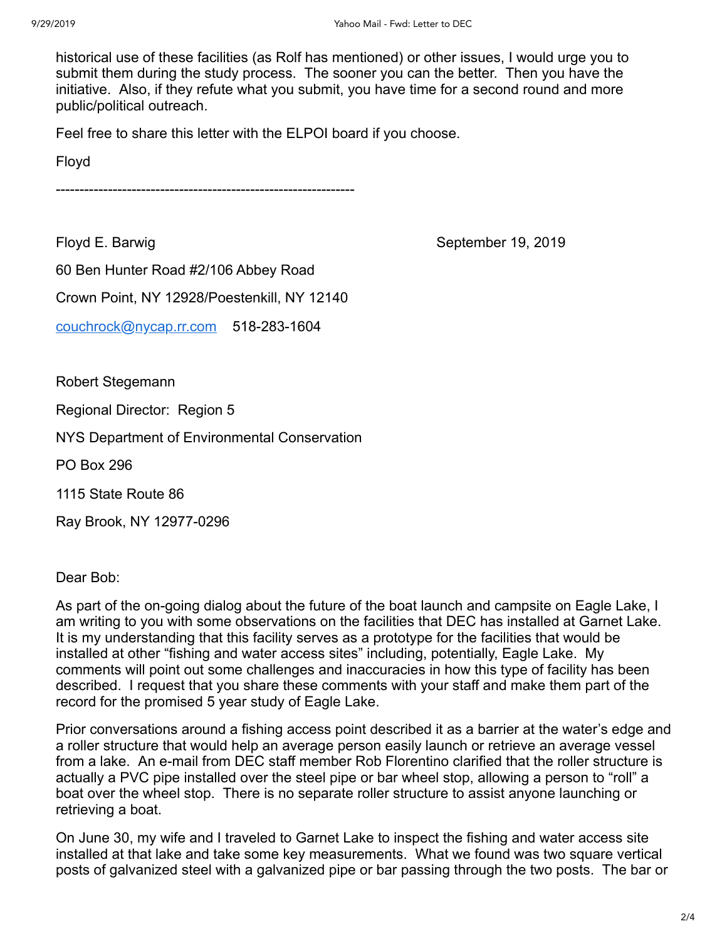historical use of these facilities (as Rolf has mentioned) or other issues, I would urge you to submit them during the study process. The sooner you can the better. Then you have the initiative. Also, if they refute what you submit, you have time for a second round and more public/political outreach.

Feel free to share this letter with the ELPOI board if you choose.

Floyd

---------------------------------------------------------------

Floyd E. Barwig **September 19, 2019** 

60 Ben Hunter Road #2/106 Abbey Road

Crown Point, NY 12928/Poestenkill, NY 12140

[couchrock@nycap.rr.com](mailto:couchrock@nycap.rr.com) 518-283-1604

Robert Stegemann

Regional Director: Region 5

NYS Department of Environmental Conservation

PO Box 296

1115 State Route 86

Ray Brook, NY 12977-0296

Dear Bob:

As part of the on-going dialog about the future of the boat launch and campsite on Eagle Lake, I am writing to you with some observations on the facilities that DEC has installed at Garnet Lake. It is my understanding that this facility serves as a prototype for the facilities that would be installed at other "fishing and water access sites" including, potentially, Eagle Lake. My comments will point out some challenges and inaccuracies in how this type of facility has been described. I request that you share these comments with your staff and make them part of the record for the promised 5 year study of Eagle Lake.

Prior conversations around a fishing access point described it as a barrier at the water's edge and a roller structure that would help an average person easily launch or retrieve an average vessel from a lake. An e-mail from DEC staff member Rob Florentino clarified that the roller structure is actually a PVC pipe installed over the steel pipe or bar wheel stop, allowing a person to "roll" a boat over the wheel stop. There is no separate roller structure to assist anyone launching or retrieving a boat.

On June 30, my wife and I traveled to Garnet Lake to inspect the fishing and water access site installed at that lake and take some key measurements. What we found was two square vertical posts of galvanized steel with a galvanized pipe or bar passing through the two posts. The bar or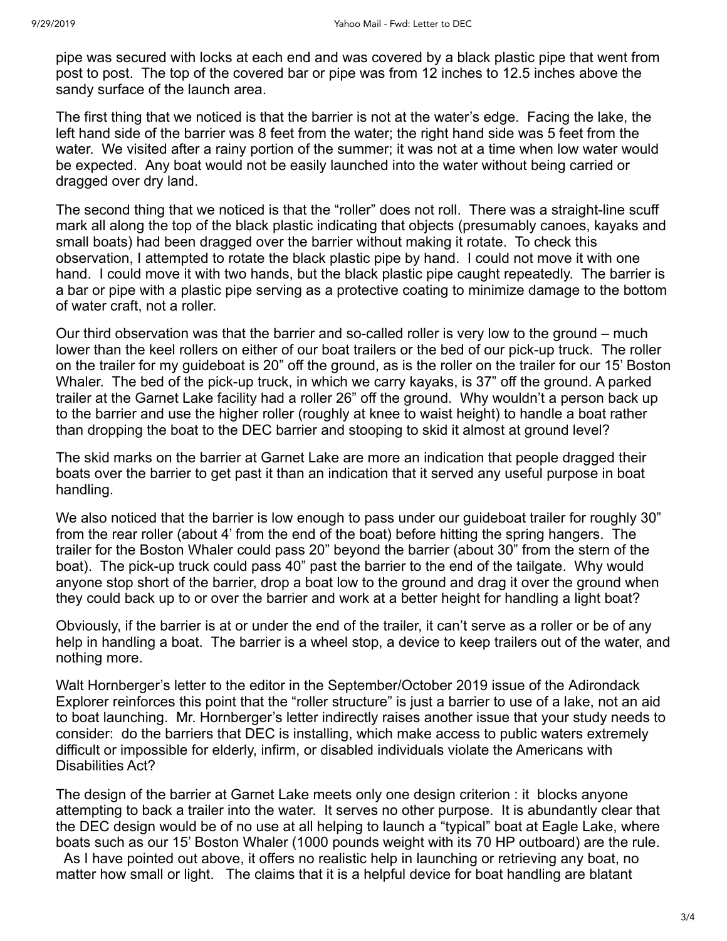pipe was secured with locks at each end and was covered by a black plastic pipe that went from post to post. The top of the covered bar or pipe was from 12 inches to 12.5 inches above the sandy surface of the launch area.

The first thing that we noticed is that the barrier is not at the water's edge. Facing the lake, the left hand side of the barrier was 8 feet from the water; the right hand side was 5 feet from the water. We visited after a rainy portion of the summer; it was not at a time when low water would be expected. Any boat would not be easily launched into the water without being carried or dragged over dry land.

The second thing that we noticed is that the "roller" does not roll. There was a straight-line scuff mark all along the top of the black plastic indicating that objects (presumably canoes, kayaks and small boats) had been dragged over the barrier without making it rotate. To check this observation, I attempted to rotate the black plastic pipe by hand. I could not move it with one hand. I could move it with two hands, but the black plastic pipe caught repeatedly. The barrier is a bar or pipe with a plastic pipe serving as a protective coating to minimize damage to the bottom of water craft, not a roller.

Our third observation was that the barrier and so-called roller is very low to the ground – much lower than the keel rollers on either of our boat trailers or the bed of our pick-up truck. The roller on the trailer for my guideboat is 20" off the ground, as is the roller on the trailer for our 15' Boston Whaler. The bed of the pick-up truck, in which we carry kayaks, is 37" off the ground. A parked trailer at the Garnet Lake facility had a roller 26" off the ground. Why wouldn't a person back up to the barrier and use the higher roller (roughly at knee to waist height) to handle a boat rather than dropping the boat to the DEC barrier and stooping to skid it almost at ground level?

The skid marks on the barrier at Garnet Lake are more an indication that people dragged their boats over the barrier to get past it than an indication that it served any useful purpose in boat handling.

We also noticed that the barrier is low enough to pass under our guideboat trailer for roughly 30" from the rear roller (about 4' from the end of the boat) before hitting the spring hangers. The trailer for the Boston Whaler could pass 20" beyond the barrier (about 30" from the stern of the boat). The pick-up truck could pass 40" past the barrier to the end of the tailgate. Why would anyone stop short of the barrier, drop a boat low to the ground and drag it over the ground when they could back up to or over the barrier and work at a better height for handling a light boat?

Obviously, if the barrier is at or under the end of the trailer, it can't serve as a roller or be of any help in handling a boat. The barrier is a wheel stop, a device to keep trailers out of the water, and nothing more.

Walt Hornberger's letter to the editor in the September/October 2019 issue of the Adirondack Explorer reinforces this point that the "roller structure" is just a barrier to use of a lake, not an aid to boat launching. Mr. Hornberger's letter indirectly raises another issue that your study needs to consider: do the barriers that DEC is installing, which make access to public waters extremely difficult or impossible for elderly, infirm, or disabled individuals violate the Americans with Disabilities Act?

The design of the barrier at Garnet Lake meets only one design criterion : it blocks anyone attempting to back a trailer into the water. It serves no other purpose. It is abundantly clear that the DEC design would be of no use at all helping to launch a "typical" boat at Eagle Lake, where boats such as our 15' Boston Whaler (1000 pounds weight with its 70 HP outboard) are the rule. As I have pointed out above, it offers no realistic help in launching or retrieving any boat, no matter how small or light. The claims that it is a helpful device for boat handling are blatant